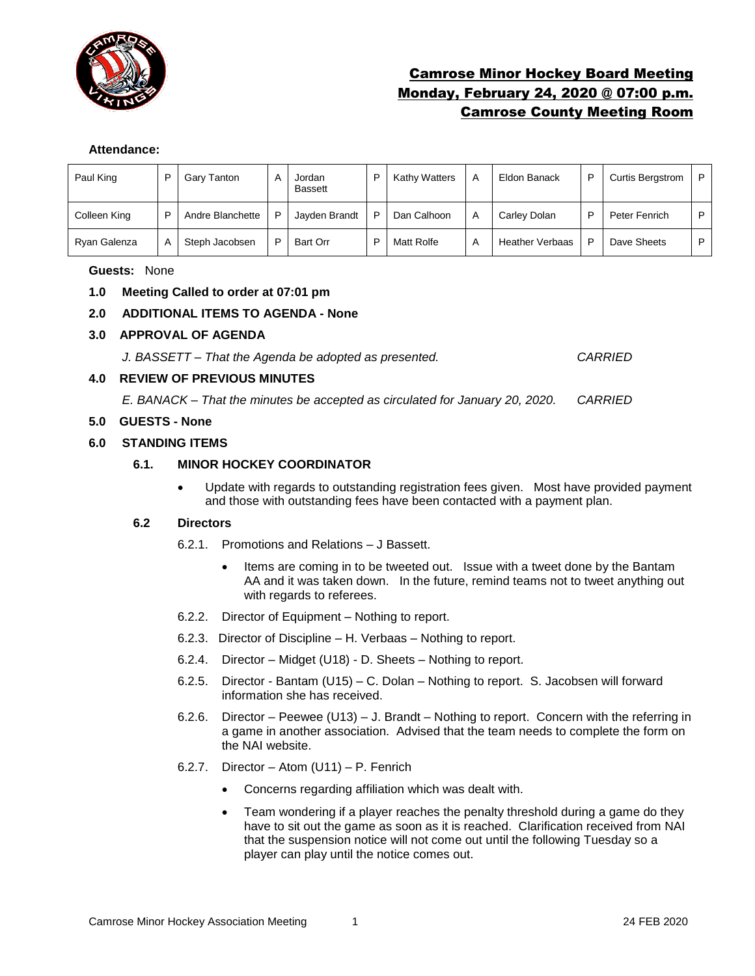

# Camrose Minor Hockey Board Meeting Monday, February 24, 2020 @ 07:00 p.m. Camrose County Meeting Room

### **Attendance:**

| Paul King    |   | Gary Tanton      | А | Jordan<br><b>Bassett</b> | D | <b>Kathy Watters</b> | A | Eldon Banack           | D | <b>Curtis Bergstrom</b> | P |
|--------------|---|------------------|---|--------------------------|---|----------------------|---|------------------------|---|-------------------------|---|
| Colleen King | ▫ | Andre Blanchette | P | Jayden Brandt            | D | Dan Calhoon          | A | Carley Dolan           | ▫ | Peter Fenrich           | D |
| Ryan Galenza |   | Steph Jacobsen   | P | Bart Orr                 | D | Matt Rolfe           | A | <b>Heather Verbaas</b> | D | Dave Sheets             | D |

### **Guests:** None

- **1.0 Meeting Called to order at 07:01 pm**
- **2.0 ADDITIONAL ITEMS TO AGENDA - None**

### **3.0 APPROVAL OF AGENDA**

*J. BASSETT – That the Agenda be adopted as presented. CARRIED*

### **4.0 REVIEW OF PREVIOUS MINUTES**

*E. BANACK – That the minutes be accepted as circulated for January 20, 2020. CARRIED*

### **5.0 GUESTS - None**

### **6.0 STANDING ITEMS**

## **6.1. MINOR HOCKEY COORDINATOR**

• Update with regards to outstanding registration fees given. Most have provided payment and those with outstanding fees have been contacted with a payment plan.

### **6.2 Directors**

- 6.2.1. Promotions and Relations J Bassett.
	- Items are coming in to be tweeted out. Issue with a tweet done by the Bantam AA and it was taken down. In the future, remind teams not to tweet anything out with regards to referees.
- 6.2.2. Director of Equipment Nothing to report.
- 6.2.3. Director of Discipline H. Verbaas Nothing to report.
- 6.2.4. Director Midget (U18) D. Sheets Nothing to report.
- 6.2.5. Director Bantam (U15) C. Dolan Nothing to report. S. Jacobsen will forward information she has received.
- 6.2.6. Director Peewee (U13) J. Brandt Nothing to report. Concern with the referring in a game in another association. Advised that the team needs to complete the form on the NAI website.
- 6.2.7. Director Atom (U11) P. Fenrich
	- Concerns regarding affiliation which was dealt with.
	- Team wondering if a player reaches the penalty threshold during a game do they have to sit out the game as soon as it is reached. Clarification received from NAI that the suspension notice will not come out until the following Tuesday so a player can play until the notice comes out.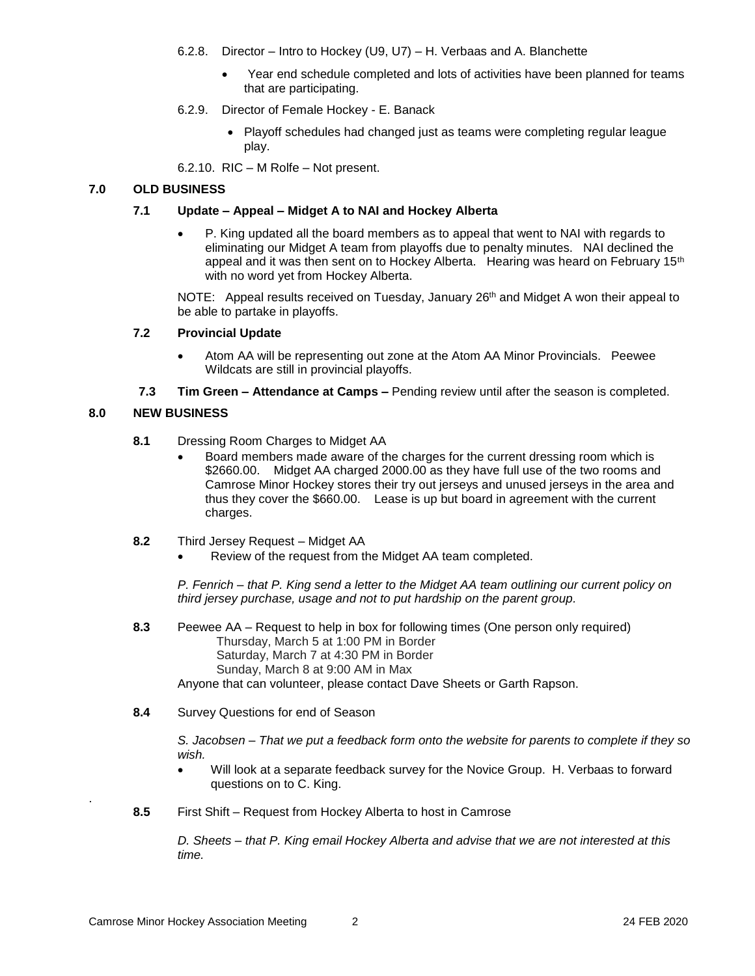- 6.2.8. Director Intro to Hockey (U9, U7) H. Verbaas and A. Blanchette
	- Year end schedule completed and lots of activities have been planned for teams that are participating.
- 6.2.9. Director of Female Hockey E. Banack
	- Playoff schedules had changed just as teams were completing regular league play.

6.2.10. RIC – M Rolfe – Not present.

# **7.0 OLD BUSINESS**

### **7.1 Update – Appeal – Midget A to NAI and Hockey Alberta**

• P. King updated all the board members as to appeal that went to NAI with regards to eliminating our Midget A team from playoffs due to penalty minutes. NAI declined the appeal and it was then sent on to Hockey Alberta. Hearing was heard on February  $15<sup>th</sup>$ with no word yet from Hockey Alberta.

NOTE: Appeal results received on Tuesday, January 26<sup>th</sup> and Midget A won their appeal to be able to partake in playoffs.

### **7.2 Provincial Update**

- Atom AA will be representing out zone at the Atom AA Minor Provincials. Peewee Wildcats are still in provincial playoffs.
- **7.3 Tim Green – Attendance at Camps –** Pending review until after the season is completed.

### **8.0 NEW BUSINESS**

- **8.1** Dressing Room Charges to Midget AA
	- Board members made aware of the charges for the current dressing room which is \$2660.00. Midget AA charged 2000.00 as they have full use of the two rooms and Camrose Minor Hockey stores their try out jerseys and unused jerseys in the area and thus they cover the \$660.00. Lease is up but board in agreement with the current charges.
- **8.2** Third Jersey Request Midget AA
	- Review of the request from the Midget AA team completed.

*P. Fenrich – that P. King send a letter to the Midget AA team outlining our current policy on third jersey purchase, usage and not to put hardship on the parent group.* 

**8.3** Peewee AA – Request to help in box for following times (One person only required) Thursday, March 5 at 1:00 PM in Border Saturday, March 7 at 4:30 PM in Border Sunday, March 8 at 9:00 AM in Max

Anyone that can volunteer, please contact Dave Sheets or Garth Rapson.

**8.4** Survey Questions for end of Season

*S. Jacobsen – That we put a feedback form onto the website for parents to complete if they so wish.* 

- Will look at a separate feedback survey for the Novice Group. H. Verbaas to forward questions on to C. King.
- **8.5** First Shift Request from Hockey Alberta to host in Camrose

*D. Sheets – that P. King email Hockey Alberta and advise that we are not interested at this time.* 

.